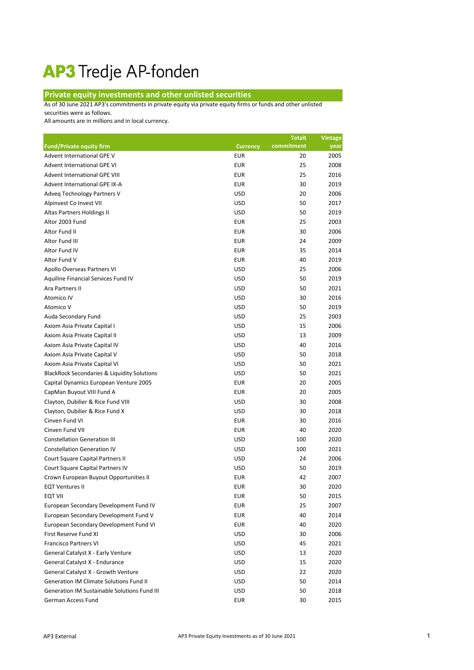## AP3 Tredje AP-fonden

## **Private equity investments and other unlisted securities**

As of 30 June 2021 AP3's commitments in private equity via private equity firms or funds and other unlisted

securities were as follows.

All amounts are in millions and in local currency.

|                                                        |                 | <b>Totalt</b> | <b>Vintage</b> |
|--------------------------------------------------------|-----------------|---------------|----------------|
| <b>Fund/Private equity firm</b>                        | <b>Currency</b> | commitment    | year           |
| Advent International GPE V                             | <b>EUR</b>      | 20            | 2005           |
| Advent International GPE VI                            | <b>EUR</b>      | 25            | 2008           |
| <b>Advent International GPE VIII</b>                   | <b>EUR</b>      | 25            | 2016           |
| Advent International GPE IX-A                          | <b>EUR</b>      | 30            | 2019           |
| Adveq Technology Partners V                            | <b>USD</b>      | 20            | 2006           |
| Alpinvest Co Invest VII                                | <b>USD</b>      | 50            | 2017           |
| Altas Partners Holdings II                             | <b>USD</b>      | 50            | 2019           |
| Altor 2003 Fund                                        | <b>EUR</b>      | 25            | 2003           |
| Altor Fund II                                          | <b>EUR</b>      | 30            | 2006           |
| Altor Fund III                                         | <b>EUR</b>      | 24            | 2009           |
| Altor Fund IV                                          | <b>EUR</b>      | 35            | 2014           |
| Altor Fund V                                           | <b>EUR</b>      | 40            | 2019           |
| Apollo Overseas Partners VI                            | <b>USD</b>      | 25            | 2006           |
| Aquiline Financial Services Fund IV                    | <b>USD</b>      | 50            | 2019           |
| Ara Partners II                                        | <b>USD</b>      | 50            | 2021           |
| Atomico IV                                             | <b>USD</b>      | 30            | 2016           |
| Atomico V                                              | <b>USD</b>      | 50            | 2019           |
| Auda Secondary Fund                                    | <b>USD</b>      | 25            | 2003           |
| Axiom Asia Private Capital I                           | <b>USD</b>      | 15            | 2006           |
| Axiom Asia Private Capital II                          | <b>USD</b>      | 13            | 2009           |
| Axiom Asia Private Capital IV                          | <b>USD</b>      | 40            | 2016           |
| Axiom Asia Private Capital V                           | <b>USD</b>      | 50            | 2018           |
| Axiom Asia Private Capital VI                          | <b>USD</b>      | 50            | 2021           |
| <b>BlackRock Secondaries &amp; Liquidity Solutions</b> | <b>USD</b>      | 50            | 2021           |
| Capital Dynamics European Venture 2005                 | <b>EUR</b>      | 20            | 2005           |
| CapMan Buyout VIII Fund A                              | <b>EUR</b>      | 20            | 2005           |
| Clayton, Dubilier & Rice Fund VIII                     | <b>USD</b>      | 30            | 2008           |
| Clayton, Dubilier & Rice Fund X                        | <b>USD</b>      | 30            | 2018           |
| Cinven Fund VI                                         | <b>EUR</b>      | 30            | 2016           |
| Cinven Fund VII                                        | <b>EUR</b>      | 40            | 2020           |
| <b>Constellation Generation III</b>                    | <b>USD</b>      | 100           | 2020           |
| <b>Constellation Generation IV</b>                     | <b>USD</b>      | 100           | 2021           |
| Court Square Capital Partners II                       | <b>USD</b>      | 24            | 2006           |
| Court Square Capital Partners IV                       | <b>USD</b>      | 50            | 2019           |
| Crown European Buyout Opportunities II                 | <b>EUR</b>      | 42            | 2007           |
| <b>EQT Ventures II</b>                                 | <b>EUR</b>      | 30            | 2020           |
| <b>EQT VII</b>                                         | <b>EUR</b>      | 50            | 2015           |
| European Secondary Development Fund IV                 | <b>EUR</b>      | 25            | 2007           |
| European Secondary Development Fund V                  | <b>EUR</b>      | 40            | 2014           |
| European Secondary Development Fund VI                 | <b>EUR</b>      | 40            | 2020           |
| First Reserve Fund XI                                  | <b>USD</b>      | 30            | 2006           |
| <b>Francisco Partners VI</b>                           | <b>USD</b>      | 45            | 2021           |
| General Catalyst X - Early Venture                     | <b>USD</b>      | 13            | 2020           |
| General Catalyst X - Endurance                         | <b>USD</b>      | 15            | 2020           |
| General Catalyst X - Growth Venture                    | <b>USD</b>      | 22            | 2020           |
| <b>Generation IM Climate Solutions Fund II</b>         | <b>USD</b>      | 50            | 2014           |
| Generation IM Sustainable Solutions Fund III           | <b>USD</b>      | 50            | 2018           |
| German Access Fund                                     | <b>EUR</b>      | 30            | 2015           |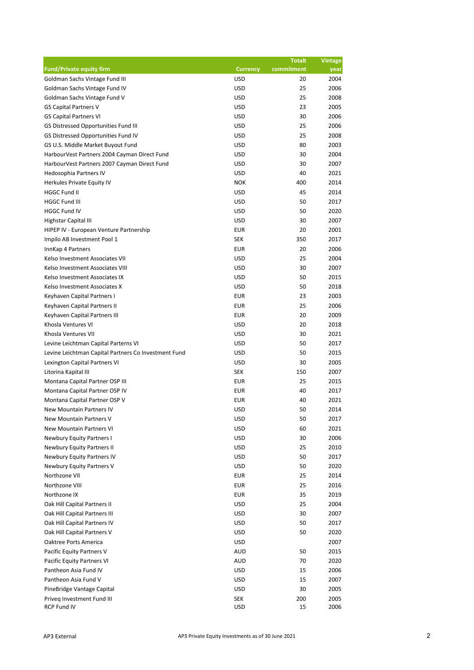|                                                      |                 | <b>Totalt</b> | <b>Vintage</b> |
|------------------------------------------------------|-----------------|---------------|----------------|
| <b>Fund/Private equity firm</b>                      | <b>Currency</b> | commitment    | year           |
| Goldman Sachs Vintage Fund III                       | <b>USD</b>      | 20            | 2004           |
| Goldman Sachs Vintage Fund IV                        | <b>USD</b>      | 25            | 2006           |
| Goldman Sachs Vintage Fund V                         | <b>USD</b>      | 25            | 2008           |
| <b>GS Capital Partners V</b>                         | <b>USD</b>      | 23            | 2005           |
| <b>GS Capital Partners VI</b>                        | <b>USD</b>      | 30            | 2006           |
| GS Distressed Opportunities Fund III                 | <b>USD</b>      | 25            | 2006           |
| GS Distressed Opportunities Fund IV                  | <b>USD</b>      | 25            | 2008           |
| GS U.S. Middle Market Buyout Fund                    | <b>USD</b>      | 80            | 2003           |
| HarbourVest Partners 2004 Cayman Direct Fund         | <b>USD</b>      | 30            | 2004           |
| HarbourVest Partners 2007 Cayman Direct Fund         | <b>USD</b>      | 30            | 2007           |
| Hedosophia Partners IV                               | <b>USD</b>      | 40            | 2021           |
| Herkules Private Equity IV                           | <b>NOK</b>      | 400           | 2014           |
| <b>HGGC Fund II</b>                                  | <b>USD</b>      | 45            | 2014           |
| <b>HGGC Fund III</b>                                 | <b>USD</b>      | 50            | 2017           |
| <b>HGGC Fund IV</b>                                  | <b>USD</b>      | 50            | 2020           |
| Highstar Capital III                                 | <b>USD</b>      | 30            | 2007           |
| HIPEP IV - European Venture Partnership              | <b>EUR</b>      | 20            | 2001           |
| Impilo AB Investment Pool 1                          | <b>SEK</b>      | 350           | 2017           |
| InnKap 4 Partners                                    | <b>EUR</b>      | 20            | 2006           |
| Kelso Investment Associates VII                      | <b>USD</b>      | 25            | 2004           |
| Kelso Investment Associates VIII                     | <b>USD</b>      | 30            | 2007           |
| Kelso Investment Associates IX                       | <b>USD</b>      | 50            | 2015           |
| Kelso Investment Associates X                        | <b>USD</b>      | 50            | 2018           |
| Keyhaven Capital Partners I                          | <b>EUR</b>      | 23            | 2003           |
| Keyhaven Capital Partners II                         | <b>EUR</b>      | 25            | 2006           |
| Keyhaven Capital Partners III                        | <b>EUR</b>      | 20            | 2009           |
| Khosla Ventures VI                                   | <b>USD</b>      | 20            | 2018           |
| Khosla Ventures VII                                  | <b>USD</b>      | 30            | 2021           |
| Levine Leichtman Capital Parterns VI                 | <b>USD</b>      | 50            | 2017           |
| Levine Leichtman Capital Partners Co Investment Fund | <b>USD</b>      | 50            | 2015           |
| Lexington Capital Partners VI                        | <b>USD</b>      | 30            | 2005           |
| Litorina Kapital III                                 | <b>SEK</b>      | 150           | 2007           |
| Montana Capital Partner OSP III                      | <b>EUR</b>      | 25            | 2015           |
| Montana Capital Partner OSP IV                       | <b>EUR</b>      | 40            | 2017           |
| Montana Capital Partner OSP V                        | <b>EUR</b>      | 40            | 2021           |
| <b>New Mountain Partners IV</b>                      | <b>USD</b>      | 50            | 2014           |
| New Mountain Partners V                              | <b>USD</b>      | 50            | 2017           |
| New Mountain Partners VI                             | <b>USD</b>      | 60            | 2021           |
| <b>Newbury Equity Partners I</b>                     | <b>USD</b>      | 30            | 2006           |
| Newbury Equity Partners II                           | <b>USD</b>      | 25            | 2010           |
| Newbury Equity Partners IV                           | <b>USD</b>      | 50            | 2017           |
| Newbury Equity Partners V                            | <b>USD</b>      | 50            | 2020           |
| Northzone VII                                        | <b>EUR</b>      | 25            | 2014           |
| Northzone VIII                                       | <b>EUR</b>      | 25            | 2016           |
| Northzone IX                                         | <b>EUR</b>      | 35            | 2019           |
| Oak Hill Capital Partners II                         | <b>USD</b>      | 25            | 2004           |
| Oak Hill Capital Partners III                        | <b>USD</b>      | 30            | 2007           |
| Oak Hill Capital Partners IV                         | <b>USD</b>      | 50            | 2017           |
| Oak Hill Capital Partners V                          | <b>USD</b>      | 50            | 2020           |
| Oaktree Ports America                                | <b>USD</b>      |               | 2007           |
| Pacific Equity Partners V                            | <b>AUD</b>      | 50            | 2015           |
| Pacific Equity Partners VI                           | <b>AUD</b>      | 70            | 2020           |
| Pantheon Asia Fund IV                                | <b>USD</b>      | 15            | 2006           |
| Pantheon Asia Fund V                                 | <b>USD</b>      | 15            | 2007           |
| PineBridge Vantage Capital                           | <b>USD</b>      | 30            | 2005           |
| Priveq Investment Fund III                           | <b>SEK</b>      | 200           | 2005           |
| RCP Fund IV                                          | <b>USD</b>      | 15            | 2006           |